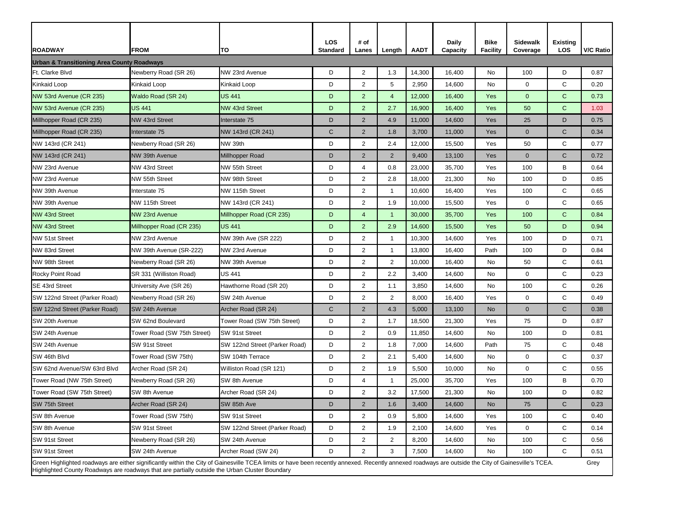| <b>ROADWAY</b>                                                                                                                                                                                                                                                                                                | <b>FROM</b>                 | TO                            | <b>LOS</b><br><b>Standard</b> | # of<br>Lanes  | Length         | <b>AADT</b> | <b>Daily</b><br>Capacity | <b>Bike</b><br><b>Facility</b> | <b>Sidewalk</b><br>Coverage | <b>Existing</b><br><b>LOS</b> | <b>V/C Ratio</b> |
|---------------------------------------------------------------------------------------------------------------------------------------------------------------------------------------------------------------------------------------------------------------------------------------------------------------|-----------------------------|-------------------------------|-------------------------------|----------------|----------------|-------------|--------------------------|--------------------------------|-----------------------------|-------------------------------|------------------|
| <b>Urban &amp; Transitioning Area County Roadways</b>                                                                                                                                                                                                                                                         |                             |                               |                               |                |                |             |                          |                                |                             |                               |                  |
| Ft. Clarke Blvd                                                                                                                                                                                                                                                                                               | Newberry Road (SR 26)       | NW 23rd Avenue                | D                             | $\overline{2}$ | 1.3            | 14,300      | 16,400                   | No                             | 100                         | D                             | 0.87             |
| Kinkaid Loop                                                                                                                                                                                                                                                                                                  | <b>Kinkaid Loop</b>         | Kinkaid Loop                  | D                             | $\overline{2}$ | 5              | 2,950       | 14,600                   | <b>No</b>                      | $\mathbf 0$                 | $\mathsf{C}$                  | 0.20             |
| NW 53rd Avenue (CR 235)                                                                                                                                                                                                                                                                                       | Waldo Road (SR 24)          | <b>US 441</b>                 | D                             | 2 <sup>1</sup> | $\overline{4}$ | 12,000      | 16,400                   | Yes                            | $\mathbf{0}$                | $\mathbf C$                   | 0.73             |
| NW 53rd Avenue (CR 235)                                                                                                                                                                                                                                                                                       | <b>US 441</b>               | <b>NW 43rd Street</b>         | D                             | $\overline{2}$ | 2.7            | 16,900      | 16,400                   | Yes                            | 50                          | $\mathbf C$                   | 1.03             |
| Millhopper Road (CR 235)                                                                                                                                                                                                                                                                                      | NW 43rd Street              | Interstate 75                 | D                             | $\overline{2}$ | 4.9            | 11,000      | 14,600                   | Yes                            | 25                          | D                             | 0.75             |
| Millhopper Road (CR 235)                                                                                                                                                                                                                                                                                      | Interstate 75               | NW 143rd (CR 241)             | $\mathsf{C}$                  | $\overline{2}$ | 1.8            | 3,700       | 11,000                   | Yes                            | $\overline{0}$              | $\mathsf{C}$                  | 0.34             |
| NW 143rd (CR 241)                                                                                                                                                                                                                                                                                             | Newberry Road (SR 26)       | NW 39th                       | D                             | $\overline{2}$ | 2.4            | 12,000      | 15,500                   | Yes                            | 50                          | $\mathsf{C}$                  | 0.77             |
| NW 143rd (CR 241)                                                                                                                                                                                                                                                                                             | NW 39th Avenue              | Millhopper Road               | D                             | $\overline{2}$ | $\overline{2}$ | 9,400       | 13,100                   | Yes                            | $\overline{0}$              | $\mathsf{C}$                  | 0.72             |
| NW 23rd Avenue                                                                                                                                                                                                                                                                                                | NW 43rd Street              | NW 55th Street                | D                             | 4              | 0.8            | 23,000      | 35,700                   | Yes                            | 100                         | B                             | 0.64             |
| NW 23rd Avenue                                                                                                                                                                                                                                                                                                | NW 55th Street              | NW 98th Street                | D                             | $\overline{2}$ | 2.8            | 18,000      | 21,300                   | <b>No</b>                      | 100                         | D                             | 0.85             |
| NW 39th Avenue                                                                                                                                                                                                                                                                                                | Interstate 75               | NW 115th Street               | D                             | $\overline{2}$ | $\overline{1}$ | 10,600      | 16,400                   | Yes                            | 100                         | $\mathsf{C}$                  | 0.65             |
| NW 39th Avenue                                                                                                                                                                                                                                                                                                | NW 115th Street             | NW 143rd (CR 241)             | D                             | $\overline{2}$ | 1.9            | 10,000      | 15,500                   | Yes                            | $\mathbf 0$                 | $\mathsf C$                   | 0.65             |
| <b>NW 43rd Street</b>                                                                                                                                                                                                                                                                                         | NW 23rd Avenue              | Millhopper Road (CR 235)      | D                             | $\overline{4}$ | $\mathbf 1$    | 30,000      | 35,700                   | Yes                            | 100                         | $\mathbf C$                   | 0.84             |
| <b>NW 43rd Street</b>                                                                                                                                                                                                                                                                                         | Millhopper Road (CR 235)    | <b>US 441</b>                 | D                             | $\overline{2}$ | 2.9            | 14,600      | 15,500                   | Yes                            | 50                          | D                             | 0.94             |
| NW 51st Street                                                                                                                                                                                                                                                                                                | NW 23rd Avenue              | NW 39th Ave (SR 222)          | D                             | $\overline{2}$ | $\overline{1}$ | 10,300      | 14,600                   | Yes                            | 100                         | D                             | 0.71             |
| NW 83rd Street                                                                                                                                                                                                                                                                                                | NW 39th Avenue (SR-222)     | NW 23rd Avenue                | D                             | $\overline{2}$ | -1             | 13,800      | 16,400                   | Path                           | 100                         | D                             | 0.84             |
| NW 98th Street                                                                                                                                                                                                                                                                                                | Newberry Road (SR 26)       | NW 39th Avenue                | D                             | $\overline{2}$ | $\overline{2}$ | 10,000      | 16,400                   | No                             | 50                          | $\mathsf{C}$                  | 0.61             |
| Rocky Point Road                                                                                                                                                                                                                                                                                              | SR 331 (Williston Road)     | US 441                        | D                             | $\overline{2}$ | 2.2            | 3,400       | 14,600                   | No                             | $\mathbf 0$                 | $\mathsf C$                   | 0.23             |
| SE 43rd Street                                                                                                                                                                                                                                                                                                | University Ave (SR 26)      | Hawthorne Road (SR 20)        | D                             | $\overline{2}$ | 1.1            | 3,850       | 14,600                   | No                             | 100                         | C                             | 0.26             |
| SW 122nd Street (Parker Road)                                                                                                                                                                                                                                                                                 | Newberry Road (SR 26)       | SW 24th Avenue                | D                             | $\overline{2}$ | $\overline{2}$ | 8,000       | 16,400                   | Yes                            | $\mathbf 0$                 | $\mathsf C$                   | 0.49             |
| SW 122nd Street (Parker Road)                                                                                                                                                                                                                                                                                 | SW 24th Avenue              | Archer Road (SR 24)           | $\mathsf C$                   | $\overline{2}$ | 4.3            | 5,000       | 13,100                   | <b>No</b>                      | $\mathbf 0$                 | $\mathsf{C}$                  | 0.38             |
| SW 20th Avenue                                                                                                                                                                                                                                                                                                | SW 62nd Boulevard           | Tower Road (SW 75th Street)   | D                             | 2 <sup>1</sup> | 1.7            | 18,500      | 21,300                   | Yes                            | 75                          | D                             | 0.87             |
| SW 24th Avenue                                                                                                                                                                                                                                                                                                | Tower Road (SW 75th Street) | SW 91st Street                | D                             | $\overline{2}$ | 0.9            | 11,850      | 14,600                   | No                             | 100                         | D                             | 0.81             |
| SW 24th Avenue                                                                                                                                                                                                                                                                                                | SW 91st Street              | SW 122nd Street (Parker Road) | D                             | $\overline{2}$ | 1.8            | 7,000       | 14,600                   | Path                           | 75                          | C                             | 0.48             |
| SW 46th Blvd                                                                                                                                                                                                                                                                                                  | Tower Road (SW 75th)        | SW 104th Terrace              | D                             | $\overline{2}$ | 2.1            | 5,400       | 14,600                   | No                             | 0                           | $\mathsf{C}$                  | 0.37             |
| SW 62nd Avenue/SW 63rd Blvd                                                                                                                                                                                                                                                                                   | Archer Road (SR 24)         | Williston Road (SR 121)       | D                             | $2^{\circ}$    | 1.9            | 5,500       | 10,000                   | No                             | $\mathbf 0$                 | $\mathbf C$                   | 0.55             |
| Tower Road (NW 75th Street)                                                                                                                                                                                                                                                                                   | Newberry Road (SR 26)       | SW 8th Avenue                 | D                             | 4              | $\overline{1}$ | 25,000      | 35,700                   | Yes                            | 100                         | B                             | 0.70             |
| Tower Road (SW 75th Street)                                                                                                                                                                                                                                                                                   | SW 8th Avenue               | Archer Road (SR 24)           | D                             | 2 <sup>1</sup> | 3.2            | 17,500      | 21,300                   | No                             | 100                         | D                             | 0.82             |
| SW 75th Street                                                                                                                                                                                                                                                                                                | Archer Road (SR 24)         | SW 85th Ave                   | D                             | $\overline{2}$ | 1.6            | 3,400       | 14,600                   | <b>No</b>                      | 75                          | $\mathsf C$                   | 0.23             |
| SW 8th Avenue                                                                                                                                                                                                                                                                                                 | Tower Road (SW 75th)        | SW 91st Street                | D                             | 2 <sup>1</sup> | 0.9            | 5,800       | 14,600                   | Yes                            | 100                         | $\mathbf C$                   | 0.40             |
| SW 8th Avenue                                                                                                                                                                                                                                                                                                 | SW 91st Street              | SW 122nd Street (Parker Road) | D                             | $\overline{2}$ | 1.9            | 2,100       | 14,600                   | Yes                            | $\mathbf 0$                 | $\mathbf C$                   | 0.14             |
| SW 91st Street                                                                                                                                                                                                                                                                                                | Newberry Road (SR 26)       | SW 24th Avenue                | D                             | $\overline{2}$ | $\overline{2}$ | 8,200       | 14,600                   | No                             | 100                         | $\mathbf C$                   | 0.56             |
| SW 91st Street                                                                                                                                                                                                                                                                                                | SW 24th Avenue              | Archer Road (SW 24)           | D                             | $\overline{2}$ | 3              | 7,500       | 14,600                   | No                             | 100                         | $\mathsf{C}$                  | 0.51             |
| Green Highlighted roadways are either significantly within the City of Gainesville TCEA limits or have been recently annexed. Recently annexed roadways are outside the City of Gainesville's TCEA.<br>Grey<br>Highlighted County Roadways are roadways that are partially outside the Urban Cluster Boundary |                             |                               |                               |                |                |             |                          |                                |                             |                               |                  |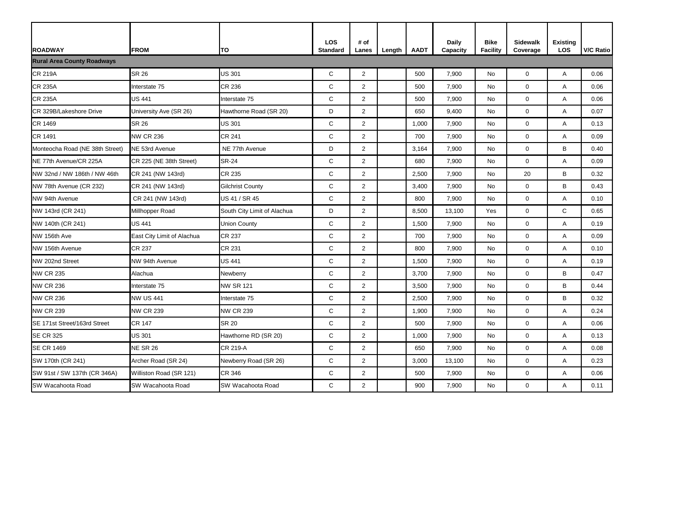| <b>ROADWAY</b>                    | <b>FROM</b>                | TO                          | <b>LOS</b><br><b>Standard</b> | # of<br>Lanes  | Length | <b>AADT</b> | <b>Daily</b><br>Capacity | <b>Bike</b><br><b>Facility</b> | <b>Sidewalk</b><br>Coverage | <b>Existing</b><br><b>LOS</b> | V/C Ratio |
|-----------------------------------|----------------------------|-----------------------------|-------------------------------|----------------|--------|-------------|--------------------------|--------------------------------|-----------------------------|-------------------------------|-----------|
| <b>Rural Area County Roadways</b> |                            |                             |                               |                |        |             |                          |                                |                             |                               |           |
| <b>CR 219A</b>                    | <b>SR 26</b>               | US 301                      | ${\bf C}$                     | $\overline{2}$ |        | 500         | 7,900                    | No                             | $\mathbf 0$                 | A                             | 0.06      |
| <b>CR 235A</b>                    | Interstate 75              | CR 236                      | $\mathsf{C}$                  | $\overline{2}$ |        | 500         | 7,900                    | No                             | 0                           | A                             | 0.06      |
| <b>CR 235A</b>                    | <b>US 441</b>              | Interstate 75               | C                             | $\overline{2}$ |        | 500         | 7,900                    | <b>No</b>                      | $\mathbf 0$                 | A                             | 0.06      |
| CR 329B/Lakeshore Drive           | University Ave (SR 26)     | Hawthorne Road (SR 20)      | D                             | $\overline{2}$ |        | 650         | 9,400                    | No                             | 0                           | A                             | 0.07      |
| CR 1469                           | <b>SR 26</b>               | <b>US 301</b>               | $\mathbf C$                   | $\overline{2}$ |        | 1,000       | 7,900                    | No                             | $\mathbf 0$                 | A                             | 0.13      |
| CR 1491                           | <b>NW CR 236</b>           | <b>CR 241</b>               | $\mathbf C$                   | 2              |        | 700         | 7,900                    | <b>No</b>                      | $\mathbf 0$                 | A                             | 0.09      |
| Monteocha Road (NE 38th Street)   | NE 53rd Avenue             | NE 77th Avenue              | D                             | $\overline{2}$ |        | 3,164       | 7,900                    | No                             | 0                           | B                             | 0.40      |
| NE 77th Avenue/CR 225A            | CR 225 (NE 38th Street)    | <b>SR-24</b>                | $\mathsf C$                   | $\overline{2}$ |        | 680         | 7,900                    | No                             | $\mathbf 0$                 | A                             | 0.09      |
| NW 32nd / NW 186th / NW 46th      | CR 241 (NW 143rd)          | CR 235                      | $\mathbf C$                   | $\overline{2}$ |        | 2,500       | 7,900                    | No                             | 20                          | B                             | 0.32      |
| NW 78th Avenue (CR 232)           | CR 241 (NW 143rd)          | <b>Gilchrist County</b>     | $\mathsf{C}$                  | $\overline{2}$ |        | 3,400       | 7,900                    | <b>No</b>                      | $\overline{0}$              | B                             | 0.43      |
| NW 94th Avenue                    | CR 241 (NW 143rd)          | US 41 / SR 45               | C                             | $\overline{2}$ |        | 800         | 7,900                    | No                             | $\mathbf 0$                 | A                             | 0.10      |
| NW 143rd (CR 241)                 | Millhopper Road            | South City Limit of Alachua | D                             | $\overline{2}$ |        | 8,500       | 13,100                   | Yes                            | $\mathbf 0$                 | $\mathsf{C}$                  | 0.65      |
| NW 140th (CR 241)                 | <b>US 441</b>              | <b>Union County</b>         | $\mathbf C$                   | 2              |        | 1,500       | 7,900                    | No                             | $\mathbf 0$                 | A                             | 0.19      |
| NW 156th Ave                      | East City Limit of Alachua | CR 237                      | $\mathsf{C}$                  | $\overline{2}$ |        | 700         | 7,900                    | No                             | 0                           | A                             | 0.09      |
| NW 156th Avenue                   | <b>CR 237</b>              | <b>CR 231</b>               | $\mathsf C$                   | $\overline{2}$ |        | 800         | 7,900                    | No                             | $\mathbf 0$                 | A                             | 0.10      |
| NW 202nd Street                   | NW 94th Avenue             | US 441                      | $\mathbf C$                   | $\overline{2}$ |        | 1,500       | 7,900                    | No                             | $\mathbf 0$                 | A                             | 0.19      |
| <b>NW CR 235</b>                  | Alachua                    | Newberry                    | $\mathsf C$                   | $\overline{2}$ |        | 3,700       | 7,900                    | <b>No</b>                      | $\overline{0}$              | B                             | 0.47      |
| <b>NW CR 236</b>                  | Interstate 75              | <b>NW SR 121</b>            | C                             | $\overline{2}$ |        | 3,500       | 7,900                    | No                             | $\mathbf 0$                 | B                             | 0.44      |
| <b>NW CR 236</b>                  | <b>NW US 441</b>           | Interstate 75               | ${\bf C}$                     | $\overline{2}$ |        | 2,500       | 7,900                    | No                             | $\mathbf 0$                 | B                             | 0.32      |
| <b>NW CR 239</b>                  | <b>NW CR 239</b>           | <b>NW CR 239</b>            | $\mathbf C$                   | $\overline{2}$ |        | 1,900       | 7,900                    | No                             | $\mathbf 0$                 | A                             | 0.24      |
| SE 171st Street/163rd Street      | <b>CR 147</b>              | <b>SR 20</b>                | C                             | $\overline{2}$ |        | 500         | 7,900                    | No                             | $\mathbf 0$                 | A                             | 0.06      |
| <b>SE CR 325</b>                  | <b>US 301</b>              | Hawthorne RD (SR 20)        | ${\bf C}$                     | $\overline{2}$ |        | 1,000       | 7,900                    | No                             | $\mathbf 0$                 | $\mathsf{A}$                  | 0.13      |
| <b>SE CR 1469</b>                 | <b>NE SR 26</b>            | <b>CR 219-A</b>             | ${\bf C}$                     | 2 <sup>1</sup> |        | 650         | 7,900                    | No                             | $\mathbf 0$                 | A                             | 0.08      |
| SW 170th (CR 241)                 | Archer Road (SR 24)        | Newberry Road (SR 26)       | $\mathsf{C}$                  | $\overline{2}$ |        | 3,000       | 13,100                   | No                             | $\mathbf 0$                 | A                             | 0.23      |
| SW 91st / SW 137th (CR 346A)      | Williston Road (SR 121)    | <b>CR 346</b>               | $\mathsf C$                   | $\overline{2}$ |        | 500         | 7,900                    | No                             | $\mathbf 0$                 | A                             | 0.06      |
| SW Wacahoota Road                 | SW Wacahoota Road          | SW Wacahoota Road           | $\mathsf C$                   | $\overline{a}$ |        | 900         | 7,900                    | No                             | $\overline{0}$              | A                             | 0.11      |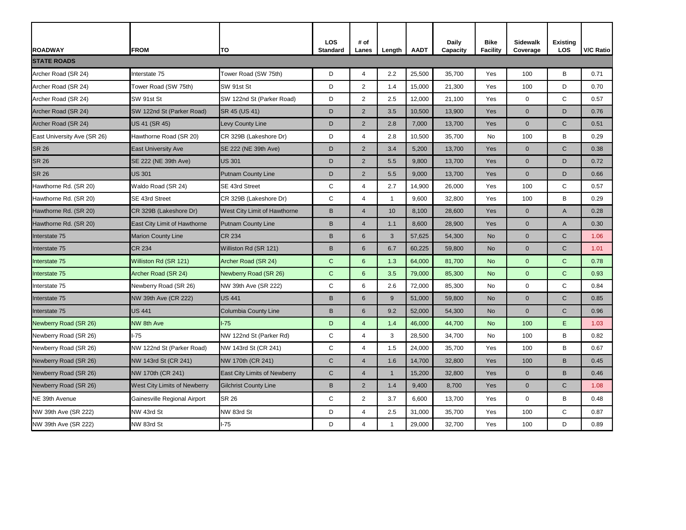| <b>ROADWAY</b>              | <b>FROM</b>                  | <b>TO</b>                    | <b>LOS</b><br><b>Standard</b> | # of<br>Lanes  | Length       | <b>AADT</b> | <b>Daily</b><br>Capacity | <b>Bike</b><br><b>Facility</b> | <b>Sidewalk</b><br>Coverage | <b>Existing</b><br><b>LOS</b> | <b>V/C Ratio</b> |
|-----------------------------|------------------------------|------------------------------|-------------------------------|----------------|--------------|-------------|--------------------------|--------------------------------|-----------------------------|-------------------------------|------------------|
| <b>STATE ROADS</b>          |                              |                              |                               |                |              |             |                          |                                |                             |                               |                  |
| Archer Road (SR 24)         | Interstate 75                | Tower Road (SW 75th)         | D                             | 4              | 2.2          | 25,500      | 35,700                   | Yes                            | 100                         | B                             | 0.71             |
| Archer Road (SR 24)         | Tower Road (SW 75th)         | SW 91st St                   | D                             | $\overline{2}$ | 1.4          | 15,000      | 21,300                   | Yes                            | 100                         | D                             | 0.70             |
| Archer Road (SR 24)         | SW 91st St                   | SW 122nd St (Parker Road)    | D                             | $\overline{2}$ | 2.5          | 12,000      | 21,100                   | Yes                            | $\mathbf 0$                 | $\mathsf{C}$                  | 0.57             |
| Archer Road (SR 24)         | SW 122nd St (Parker Road)    | SR 45 (US 41)                | D                             | 2              | 3.5          | 10,500      | 13,900                   | Yes                            | $\overline{0}$              | D                             | 0.76             |
| Archer Road (SR 24)         | US 41 (SR 45)                | Levy County Line             | D                             | $\overline{2}$ | 2.8          | 7,000       | 13,700                   | Yes                            | $\overline{0}$              | $\mathsf{C}$                  | 0.51             |
| East University Ave (SR 26) | Hawthorne Road (SR 20)       | CR 329B (Lakeshore Dr)       | D                             | 4              | 2.8          | 10,500      | 35,700                   | No                             | 100                         | B                             | 0.29             |
| <b>SR 26</b>                | <b>East University Ave</b>   | SE 222 (NE 39th Ave)         | D                             | $\overline{2}$ | 3.4          | 5,200       | 13,700                   | Yes                            | $\overline{0}$              | $\mathsf{C}$                  | 0.38             |
| <b>SR 26</b>                | SE 222 (NE 39th Ave)         | <b>US 301</b>                | D                             | $\overline{2}$ | 5.5          | 9,800       | 13,700                   | Yes                            | $\overline{0}$              | $\mathsf{D}$                  | 0.72             |
| <b>SR 26</b>                | <b>US 301</b>                | <b>Putnam County Line</b>    | D                             | $2^{\circ}$    | 5.5          | 9,000       | 13,700                   | Yes                            | $\overline{0}$              | D                             | 0.66             |
| Hawthorne Rd. (SR 20)       | Waldo Road (SR 24)           | SE 43rd Street               | С                             | 4              | 2.7          | 14,900      | 26,000                   | Yes                            | 100                         | $\mathsf{C}$                  | 0.57             |
| Hawthorne Rd. (SR 20)       | SE 43rd Street               | CR 329B (Lakeshore Dr)       | C                             | 4              | -1           | 9,600       | 32,800                   | Yes                            | 100                         | B                             | 0.29             |
| Hawthorne Rd. (SR 20)       | CR 329B (Lakeshore Dr)       | West City Limit of Hawthorne | $\sf B$                       | 4              | 10           | 8,100       | 28,600                   | Yes                            | $\overline{0}$              | A                             | 0.28             |
| Hawthorne Rd. (SR 20)       | East City Limit of Hawthorne | <b>Putnam County Line</b>    | B                             | 4              | 1.1          | 8,600       | 28,900                   | Yes                            | $\overline{0}$              | A                             | 0.30             |
| Interstate 75               | <b>Marion County Line</b>    | <b>CR 234</b>                | B                             | 6              | 3            | 57,625      | 54,300                   | <b>No</b>                      | $\overline{0}$              | $\mathsf{C}$                  | 1.06             |
| Interstate 75               | <b>CR 234</b>                | Williston Rd (SR 121)        | $\sf B$                       | 6              | 6.7          | 60,225      | 59,800                   | <b>No</b>                      | $\overline{0}$              | $\mathsf{C}$                  | 1.01             |
| Interstate 75               | Williston Rd (SR 121)        | Archer Road (SR 24)          | $\mathbf C$                   | $6\phantom{1}$ | 1.3          | 64,000      | 81,700                   | <b>No</b>                      | $\overline{0}$              | $\mathsf{C}$                  | 0.78             |
| Interstate 75               | Archer Road (SR 24)          | Newberry Road (SR 26)        | $\mathbf C$                   | $6\phantom{1}$ | 3.5          | 79,000      | 85,300                   | <b>No</b>                      | $\mathbf 0$                 | $\mathbf C$                   | 0.93             |
| Interstate 75               | Newberry Road (SR 26)        | NW 39th Ave (SR 222)         | C                             | 6              | 2.6          | 72,000      | 85,300                   | No                             | $\overline{0}$              | $\mathsf{C}$                  | 0.84             |
| Interstate 75               | NW 39th Ave (CR 222)         | <b>US 441</b>                | B                             | $\,6\,$        | $9\,$        | 51,000      | 59,800                   | <b>No</b>                      | $\boldsymbol{0}$            | $\mathsf{C}$                  | 0.85             |
| Interstate 75               | <b>US 441</b>                | <b>Columbia County Line</b>  | B                             | $\,6\,$        | 9.2          | 52,000      | 54,300                   | <b>No</b>                      | $\boldsymbol{0}$            | $\mathbf C$                   | 0.96             |
| Newberry Road (SR 26)       | <b>NW 8th Ave</b>            | $-75$                        | D                             | 4              | 1.4          | 46,000      | 44,700                   | <b>No</b>                      | 100                         | E                             | 1.03             |
| Newberry Road (SR 26)       | $I-75$                       | NW 122nd St (Parker Rd)      | $\mathsf C$                   | 4              | 3            | 28,500      | 34,700                   | No                             | 100                         | B                             | 0.82             |
| Newberry Road (SR 26)       | NW 122nd St (Parker Road)    | NW 143rd St (CR 241)         | $\mathsf C$                   | 4              | 1.5          | 24,000      | 35,700                   | Yes                            | 100                         | B                             | 0.67             |
| Newberry Road (SR 26)       | NW 143rd St (CR 241)         | NW 170th (CR 241)            | $\mathsf{C}$                  | 4              | 1.6          | 14,700      | 32,800                   | Yes                            | 100                         | B                             | 0.45             |
| Newberry Road (SR 26)       | NW 170th (CR 241)            | East City Limits of Newberry | $\mathsf{C}$                  | 4              | $\mathbf{1}$ | 15,200      | 32,800                   | Yes                            | $\overline{0}$              | B                             | 0.46             |
| Newberry Road (SR 26)       | West City Limits of Newberry | <b>Gilchrist County Line</b> | $\sf B$                       | $2^{\circ}$    | 1.4          | 9,400       | 8,700                    | Yes                            | $\boldsymbol{0}$            | $\mathsf{C}$                  | 1.08             |
| NE 39th Avenue              | Gainesville Regional Airport | <b>SR 26</b>                 | С                             | $\overline{2}$ | 3.7          | 6,600       | 13,700                   | Yes                            | 0                           | В                             | 0.48             |
| NW 39th Ave (SR 222)        | NW 43rd St                   | NW 83rd St                   | D                             | 4              | 2.5          | 31,000      | 35,700                   | Yes                            | 100                         | C                             | 0.87             |
| NW 39th Ave (SR 222)        | NW 83rd St                   | $I-75$                       | D                             | 4              | $\mathbf 1$  | 29,000      | 32,700                   | Yes                            | 100                         | D                             | 0.89             |